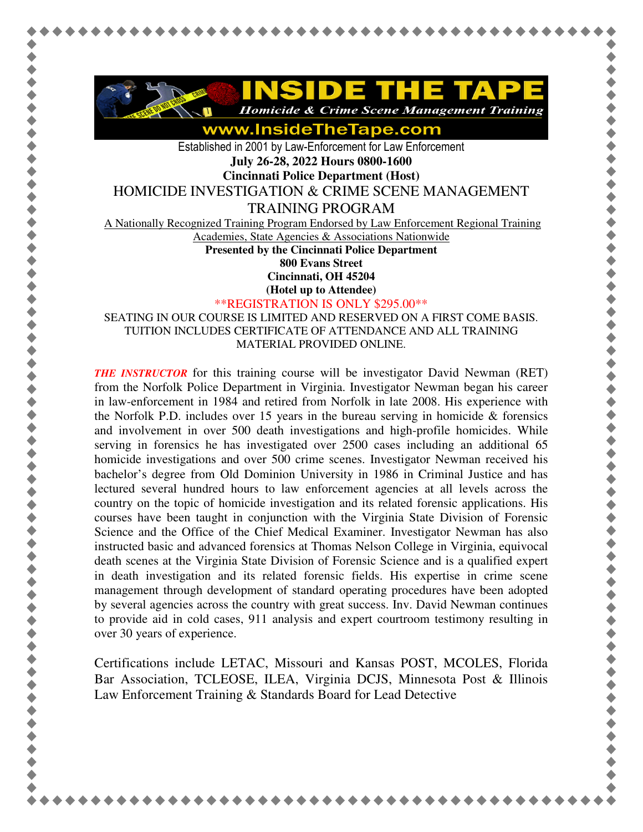

**Homicide & Crime Scene Management Training** 

www.InsideTheTape.com

Established in 2001 by Law-Enforcement for Law Enforcement **July 26-28, 2022 Hours 0800-1600** 

**Cincinnati Police Department (Host)** 

HOMICIDE INVESTIGATION & CRIME SCENE MANAGEMENT

TRAINING PROGRAM

A Nationally Recognized Training Program Endorsed by Law Enforcement Regional Training

Academies, State Agencies & Associations Nationwide

**Presented by the Cincinnati Police Department 800 Evans Street** 

**Cincinnati, OH 45204** 

**(Hotel up to Attendee)**

\*\*REGISTRATION IS ONLY \$295.00\*\*

SEATING IN OUR COURSE IS LIMITED AND RESERVED ON A FIRST COME BASIS. TUITION INCLUDES CERTIFICATE OF ATTENDANCE AND ALL TRAINING MATERIAL PROVIDED ONLINE.

*THE INSTRUCTOR* for this training course will be investigator David Newman (RET) from the Norfolk Police Department in Virginia. Investigator Newman began his career in law-enforcement in 1984 and retired from Norfolk in late 2008. His experience with the Norfolk P.D. includes over 15 years in the bureau serving in homicide  $\&$  forensics and involvement in over 500 death investigations and high-profile homicides. While serving in forensics he has investigated over 2500 cases including an additional 65 homicide investigations and over 500 crime scenes. Investigator Newman received his bachelor's degree from Old Dominion University in 1986 in Criminal Justice and has lectured several hundred hours to law enforcement agencies at all levels across the country on the topic of homicide investigation and its related forensic applications. His courses have been taught in conjunction with the Virginia State Division of Forensic Science and the Office of the Chief Medical Examiner. Investigator Newman has also instructed basic and advanced forensics at Thomas Nelson College in Virginia, equivocal death scenes at the Virginia State Division of Forensic Science and is a qualified expert in death investigation and its related forensic fields. His expertise in crime scene management through development of standard operating procedures have been adopted by several agencies across the country with great success. Inv. David Newman continues to provide aid in cold cases, 911 analysis and expert courtroom testimony resulting in over 30 years of experience.

Certifications include LETAC, Missouri and Kansas POST, MCOLES, Florida Bar Association, TCLEOSE, ILEA, Virginia DCJS, Minnesota Post & Illinois Law Enforcement Training & Standards Board for Lead Detective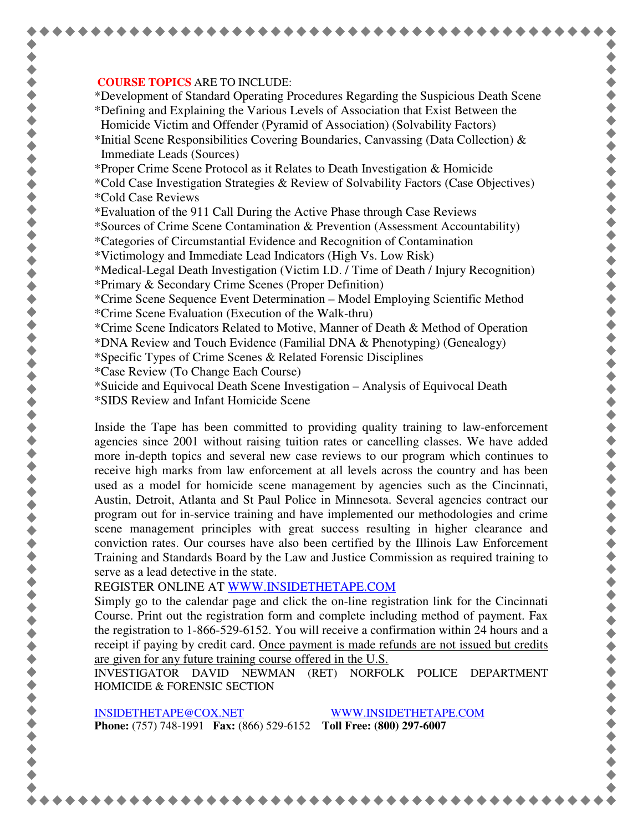## **COURSE TOPICS** ARE TO INCLUDE:

\*Development of Standard Operating Procedures Regarding the Suspicious Death Scene \*Defining and Explaining the Various Levels of Association that Exist Between the Homicide Victim and Offender (Pyramid of Association) (Solvability Factors)

\*Initial Scene Responsibilities Covering Boundaries, Canvassing (Data Collection)  $\&$ Immediate Leads (Sources)

\*Proper Crime Scene Protocol as it Relates to Death Investigation & Homicide

- \*Cold Case Investigation Strategies & Review of Solvability Factors (Case Objectives) \*Cold Case Reviews
- \*Evaluation of the 911 Call During the Active Phase through Case Reviews

\*Sources of Crime Scene Contamination & Prevention (Assessment Accountability)

- \*Categories of Circumstantial Evidence and Recognition of Contamination
- \*Victimology and Immediate Lead Indicators (High Vs. Low Risk)

\*Medical-Legal Death Investigation (Victim I.D. / Time of Death / Injury Recognition)

- \*Primary & Secondary Crime Scenes (Proper Definition)
- \*Crime Scene Sequence Event Determination Model Employing Scientific Method \*Crime Scene Evaluation (Execution of the Walk-thru)
- \*Crime Scene Indicators Related to Motive, Manner of Death & Method of Operation
- \*DNA Review and Touch Evidence (Familial DNA & Phenotyping) (Genealogy)
- \*Specific Types of Crime Scenes & Related Forensic Disciplines
- \*Case Review (To Change Each Course)
- \*Suicide and Equivocal Death Scene Investigation Analysis of Equivocal Death
- \*SIDS Review and Infant Homicide Scene

Inside the Tape has been committed to providing quality training to law-enforcement agencies since 2001 without raising tuition rates or cancelling classes. We have added more in-depth topics and several new case reviews to our program which continues to receive high marks from law enforcement at all levels across the country and has been used as a model for homicide scene management by agencies such as the Cincinnati, Austin, Detroit, Atlanta and St Paul Police in Minnesota. Several agencies contract our program out for in-service training and have implemented our methodologies and crime scene management principles with great success resulting in higher clearance and conviction rates. Our courses have also been certified by the Illinois Law Enforcement Training and Standards Board by the Law and Justice Commission as required training to serve as a lead detective in the state.

REGISTER ONLINE AT WWW.INSIDETHETAPE.COM

Simply go to the calendar page and click the on-line registration link for the Cincinnati Course. Print out the registration form and complete including method of payment. Fax the registration to 1-866-529-6152. You will receive a confirmation within 24 hours and a receipt if paying by credit card. Once payment is made refunds are not issued but credits are given for any future training course offered in the U.S.

INVESTIGATOR DAVID NEWMAN (RET) NORFOLK POLICE DEPARTMENT HOMICIDE & FORENSIC SECTION

INSIDETHETAPE@COX.NET WWW.INSIDETHETAPE.COM **Phone:** (757) 748-1991 **Fax:** (866) 529-6152 **Toll Free: (800) 297-6007**